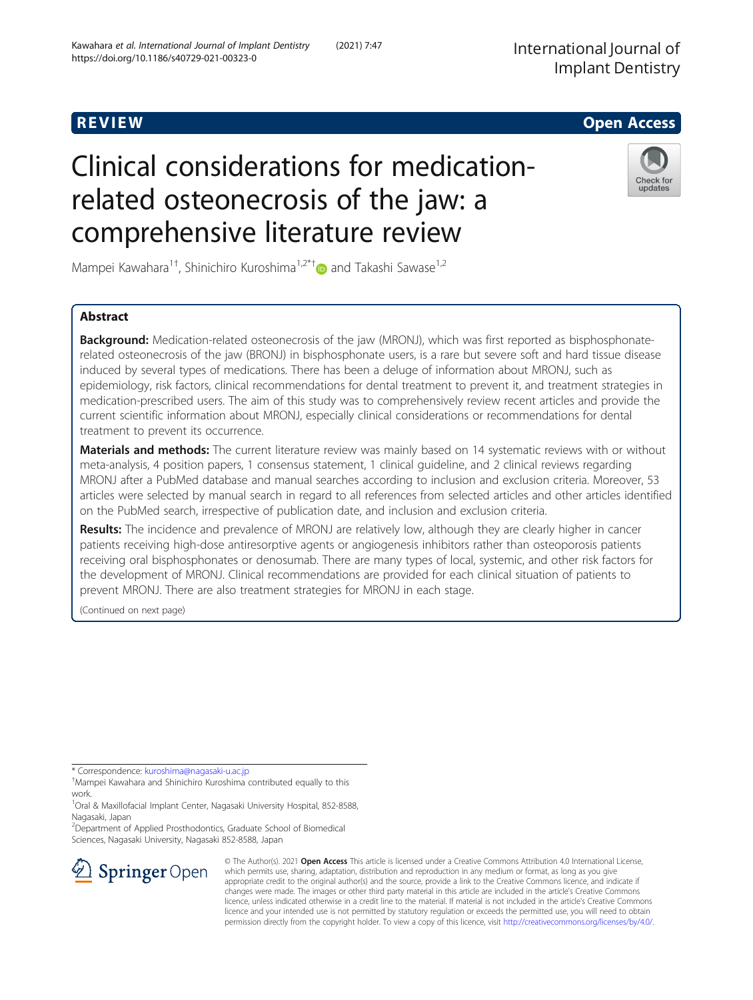# R EVI EW Open Access

# Clinical considerations for medicationrelated osteonecrosis of the jaw: a comprehensive literature review



Mampei Kawahara<sup>1†</sup>, Shinichiro Kuroshima<sup>1,2\*†</sup> and Takashi Sawase<sup>1,2</sup>

# Abstract

Background: Medication-related osteonecrosis of the jaw (MRONJ), which was first reported as bisphosphonaterelated osteonecrosis of the jaw (BRONJ) in bisphosphonate users, is a rare but severe soft and hard tissue disease induced by several types of medications. There has been a deluge of information about MRONJ, such as epidemiology, risk factors, clinical recommendations for dental treatment to prevent it, and treatment strategies in medication-prescribed users. The aim of this study was to comprehensively review recent articles and provide the current scientific information about MRONJ, especially clinical considerations or recommendations for dental treatment to prevent its occurrence.

Materials and methods: The current literature review was mainly based on 14 systematic reviews with or without meta-analysis, 4 position papers, 1 consensus statement, 1 clinical guideline, and 2 clinical reviews regarding MRONJ after a PubMed database and manual searches according to inclusion and exclusion criteria. Moreover, 53 articles were selected by manual search in regard to all references from selected articles and other articles identified on the PubMed search, irrespective of publication date, and inclusion and exclusion criteria.

Results: The incidence and prevalence of MRONJ are relatively low, although they are clearly higher in cancer patients receiving high-dose antiresorptive agents or angiogenesis inhibitors rather than osteoporosis patients receiving oral bisphosphonates or denosumab. There are many types of local, systemic, and other risk factors for the development of MRONJ. Clinical recommendations are provided for each clinical situation of patients to prevent MRONJ. There are also treatment strategies for MRONJ in each stage.

(Continued on next page)

\* Correspondence: [kuroshima@nagasaki-u.ac.jp](mailto:kuroshima@nagasaki-u.ac.jp) †

Mampei Kawahara and Shinichiro Kuroshima contributed equally to this work.

<sup>1</sup>Oral & Maxillofacial Implant Center, Nagasaki University Hospital, 852-8588, Nagasaki, Japan

<sup>2</sup>Department of Applied Prosthodontics, Graduate School of Biomedical Sciences, Nagasaki University, Nagasaki 852-8588, Japan



© The Author(s). 2021 Open Access This article is licensed under a Creative Commons Attribution 4.0 International License, which permits use, sharing, adaptation, distribution and reproduction in any medium or format, as long as you give appropriate credit to the original author(s) and the source, provide a link to the Creative Commons licence, and indicate if changes were made. The images or other third party material in this article are included in the article's Creative Commons licence, unless indicated otherwise in a credit line to the material. If material is not included in the article's Creative Commons licence and your intended use is not permitted by statutory regulation or exceeds the permitted use, you will need to obtain permission directly from the copyright holder. To view a copy of this licence, visit <http://creativecommons.org/licenses/by/4.0/>.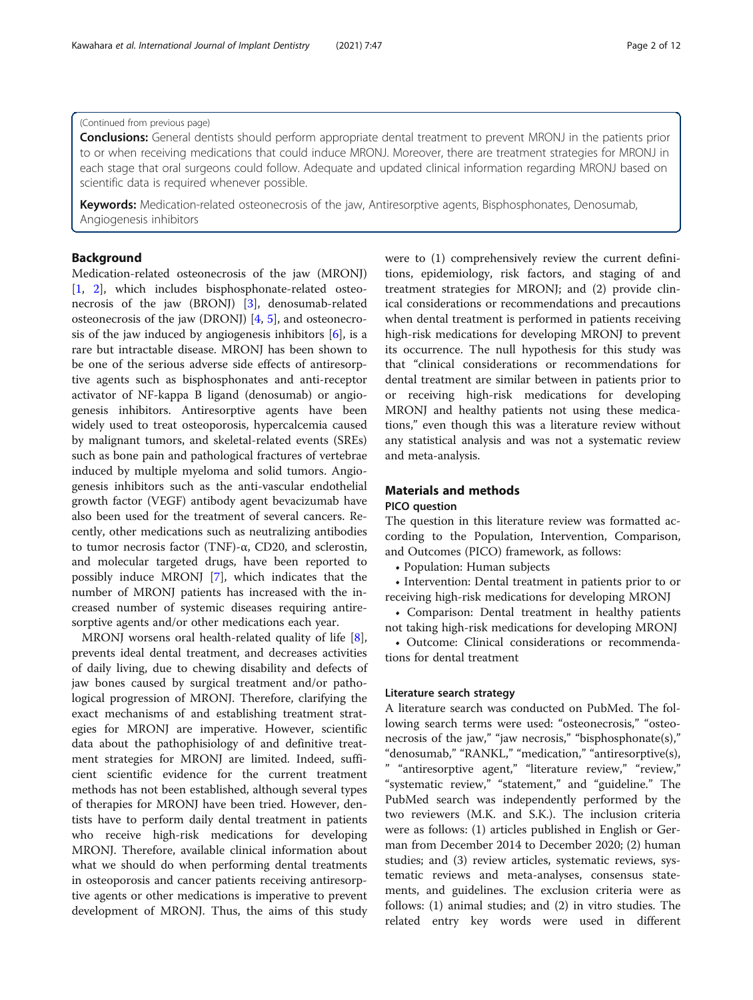## (Continued from previous page)

**Conclusions:** General dentists should perform appropriate dental treatment to prevent MRONJ in the patients prior to or when receiving medications that could induce MRONJ. Moreover, there are treatment strategies for MRONJ in each stage that oral surgeons could follow. Adequate and updated clinical information regarding MRONJ based on scientific data is required whenever possible.

Keywords: Medication-related osteonecrosis of the jaw, Antiresorptive agents, Bisphosphonates, Denosumab, Angiogenesis inhibitors

## Background

Medication-related osteonecrosis of the jaw (MRONJ) [[1,](#page-9-0) [2\]](#page-9-0), which includes bisphosphonate-related osteonecrosis of the jaw (BRONJ) [[3\]](#page-9-0), denosumab-related osteonecrosis of the jaw (DRONJ)  $[4, 5]$  $[4, 5]$  $[4, 5]$  $[4, 5]$ , and osteonecrosis of the jaw induced by angiogenesis inhibitors  $[6]$ , is a rare but intractable disease. MRONJ has been shown to be one of the serious adverse side effects of antiresorptive agents such as bisphosphonates and anti-receptor activator of NF-kappa B ligand (denosumab) or angiogenesis inhibitors. Antiresorptive agents have been widely used to treat osteoporosis, hypercalcemia caused by malignant tumors, and skeletal-related events (SREs) such as bone pain and pathological fractures of vertebrae induced by multiple myeloma and solid tumors. Angiogenesis inhibitors such as the anti-vascular endothelial growth factor (VEGF) antibody agent bevacizumab have also been used for the treatment of several cancers. Recently, other medications such as neutralizing antibodies to tumor necrosis factor (TNF)-α, CD20, and sclerostin, and molecular targeted drugs, have been reported to possibly induce MRONJ [\[7](#page-9-0)], which indicates that the number of MRONJ patients has increased with the increased number of systemic diseases requiring antiresorptive agents and/or other medications each year.

MRONJ worsens oral health-related quality of life [\[8](#page-9-0)], prevents ideal dental treatment, and decreases activities of daily living, due to chewing disability and defects of jaw bones caused by surgical treatment and/or pathological progression of MRONJ. Therefore, clarifying the exact mechanisms of and establishing treatment strategies for MRONJ are imperative. However, scientific data about the pathophisiology of and definitive treatment strategies for MRONJ are limited. Indeed, sufficient scientific evidence for the current treatment methods has not been established, although several types of therapies for MRONJ have been tried. However, dentists have to perform daily dental treatment in patients who receive high-risk medications for developing MRONJ. Therefore, available clinical information about what we should do when performing dental treatments in osteoporosis and cancer patients receiving antiresorptive agents or other medications is imperative to prevent development of MRONJ. Thus, the aims of this study

were to (1) comprehensively review the current definitions, epidemiology, risk factors, and staging of and treatment strategies for MRONJ; and (2) provide clinical considerations or recommendations and precautions when dental treatment is performed in patients receiving high-risk medications for developing MRONJ to prevent its occurrence. The null hypothesis for this study was that "clinical considerations or recommendations for dental treatment are similar between in patients prior to or receiving high-risk medications for developing MRONJ and healthy patients not using these medications," even though this was a literature review without any statistical analysis and was not a systematic review and meta-analysis.

## Materials and methods

## PICO question

The question in this literature review was formatted according to the Population, Intervention, Comparison, and Outcomes (PICO) framework, as follows:

• Population: Human subjects

• Intervention: Dental treatment in patients prior to or receiving high-risk medications for developing MRONJ

• Comparison: Dental treatment in healthy patients not taking high-risk medications for developing MRONJ

• Outcome: Clinical considerations or recommendations for dental treatment

### Literature search strategy

A literature search was conducted on PubMed. The following search terms were used: "osteonecrosis," "osteonecrosis of the jaw," "jaw necrosis," "bisphosphonate(s)," "denosumab," "RANKL," "medication," "antiresorptive(s), " "antiresorptive agent," "literature review," "review," "systematic review," "statement," and "guideline." The PubMed search was independently performed by the two reviewers (M.K. and S.K.). The inclusion criteria were as follows: (1) articles published in English or German from December 2014 to December 2020; (2) human studies; and (3) review articles, systematic reviews, systematic reviews and meta-analyses, consensus statements, and guidelines. The exclusion criteria were as follows: (1) animal studies; and (2) in vitro studies. The related entry key words were used in different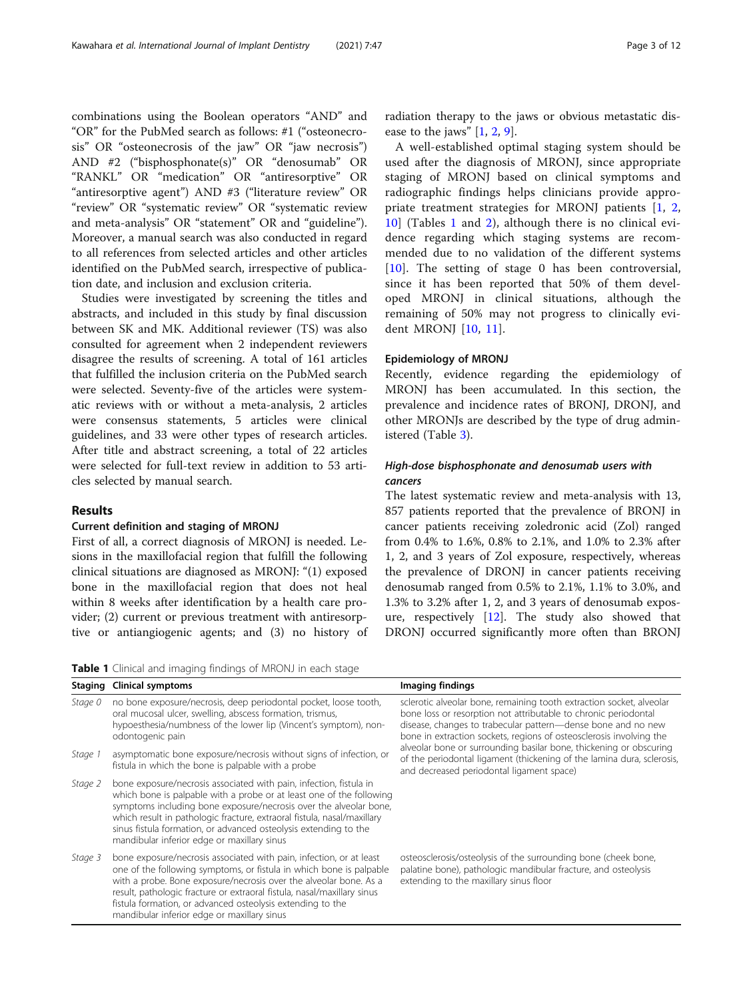combinations using the Boolean operators "AND" and "OR" for the PubMed search as follows: #1 ("osteonecrosis" OR "osteonecrosis of the jaw" OR "jaw necrosis") AND #2 ("bisphosphonate(s)" OR "denosumab" OR "RANKL" OR "medication" OR "antiresorptive" OR "antiresorptive agent") AND #3 ("literature review" OR "review" OR "systematic review" OR "systematic review and meta-analysis" OR "statement" OR and "guideline"). Moreover, a manual search was also conducted in regard to all references from selected articles and other articles identified on the PubMed search, irrespective of publication date, and inclusion and exclusion criteria.

Studies were investigated by screening the titles and abstracts, and included in this study by final discussion between SK and MK. Additional reviewer (TS) was also consulted for agreement when 2 independent reviewers disagree the results of screening. A total of 161 articles that fulfilled the inclusion criteria on the PubMed search were selected. Seventy-five of the articles were systematic reviews with or without a meta-analysis, 2 articles were consensus statements, 5 articles were clinical guidelines, and 33 were other types of research articles. After title and abstract screening, a total of 22 articles were selected for full-text review in addition to 53 articles selected by manual search.

## Results

## Current definition and staging of MRONJ

First of all, a correct diagnosis of MRONJ is needed. Lesions in the maxillofacial region that fulfill the following clinical situations are diagnosed as MRONJ: "(1) exposed bone in the maxillofacial region that does not heal within 8 weeks after identification by a health care provider; (2) current or previous treatment with antiresorptive or antiangiogenic agents; and (3) no history of

Table 1 Clinical and imaging findings of MRONJ in each stage

|                                 |  |  | radiation therapy to the jaws or obvious metastatic dis- |  |
|---------------------------------|--|--|----------------------------------------------------------|--|
| ease to the jaws" $[1, 2, 9]$ . |  |  |                                                          |  |

A well-established optimal staging system should be used after the diagnosis of MRONJ, since appropriate staging of MRONJ based on clinical symptoms and radiographic findings helps clinicians provide appro-priate treatment strategies for MRONJ patients [\[1](#page-9-0), [2](#page-9-0), [10\]](#page-9-0) (Tables 1 and [2\)](#page-3-0), although there is no clinical evidence regarding which staging systems are recommended due to no validation of the different systems [[10\]](#page-9-0). The setting of stage 0 has been controversial, since it has been reported that 50% of them developed MRONJ in clinical situations, although the remaining of 50% may not progress to clinically evident MRONJ [\[10](#page-9-0), [11](#page-9-0)].

## Epidemiology of MRONJ

Recently, evidence regarding the epidemiology of MRONJ has been accumulated. In this section, the prevalence and incidence rates of BRONJ, DRONJ, and other MRONJs are described by the type of drug administered (Table [3\)](#page-3-0).

## High-dose bisphosphonate and denosumab users with cancers

The latest systematic review and meta-analysis with 13, 857 patients reported that the prevalence of BRONJ in cancer patients receiving zoledronic acid (Zol) ranged from 0.4% to 1.6%, 0.8% to 2.1%, and 1.0% to 2.3% after 1, 2, and 3 years of Zol exposure, respectively, whereas the prevalence of DRONJ in cancer patients receiving denosumab ranged from 0.5% to 2.1%, 1.1% to 3.0%, and 1.3% to 3.2% after 1, 2, and 3 years of denosumab exposure, respectively  $[12]$  $[12]$  $[12]$ . The study also showed that DRONJ occurred significantly more often than BRONJ

|         | <b>Staging Clinical symptoms</b>                                                                                                                                                                                                                                                                                                                                                                              | Imaging findings                                                                                                                                                                                                                                                               |  |  |
|---------|---------------------------------------------------------------------------------------------------------------------------------------------------------------------------------------------------------------------------------------------------------------------------------------------------------------------------------------------------------------------------------------------------------------|--------------------------------------------------------------------------------------------------------------------------------------------------------------------------------------------------------------------------------------------------------------------------------|--|--|
| Stage 0 | no bone exposure/necrosis, deep periodontal pocket, loose tooth,<br>oral mucosal ulcer, swelling, abscess formation, trismus,<br>hypoesthesia/numbness of the lower lip (Vincent's symptom), non-<br>odontogenic pain                                                                                                                                                                                         | sclerotic alveolar bone, remaining tooth extraction socket, alveolar<br>bone loss or resorption not attributable to chronic periodontal<br>disease, changes to trabecular pattern—dense bone and no new<br>bone in extraction sockets, regions of osteosclerosis involving the |  |  |
| Stage 1 | asymptomatic bone exposure/necrosis without signs of infection, or<br>fistula in which the bone is palpable with a probe                                                                                                                                                                                                                                                                                      | alveolar bone or surrounding basilar bone, thickening or obscuring<br>of the periodontal ligament (thickening of the lamina dura, sclerosis,<br>and decreased periodontal ligament space)                                                                                      |  |  |
| Stage 2 | bone exposure/necrosis associated with pain, infection, fistula in<br>which bone is palpable with a probe or at least one of the following<br>symptoms including bone exposure/necrosis over the alveolar bone,<br>which result in pathologic fracture, extraoral fistula, nasal/maxillary<br>sinus fistula formation, or advanced osteolysis extending to the<br>mandibular inferior edge or maxillary sinus |                                                                                                                                                                                                                                                                                |  |  |
| Stage 3 | bone exposure/necrosis associated with pain, infection, or at least<br>one of the following symptoms, or fistula in which bone is palpable<br>with a probe. Bone exposure/necrosis over the alveolar bone. As a<br>result, pathologic fracture or extraoral fistula, nasal/maxillary sinus<br>fistula formation, or advanced osteolysis extending to the<br>mandibular inferior edge or maxillary sinus       | osteosclerosis/osteolysis of the surrounding bone (cheek bone,<br>palatine bone), pathologic mandibular fracture, and osteolysis<br>extending to the maxillary sinus floor                                                                                                     |  |  |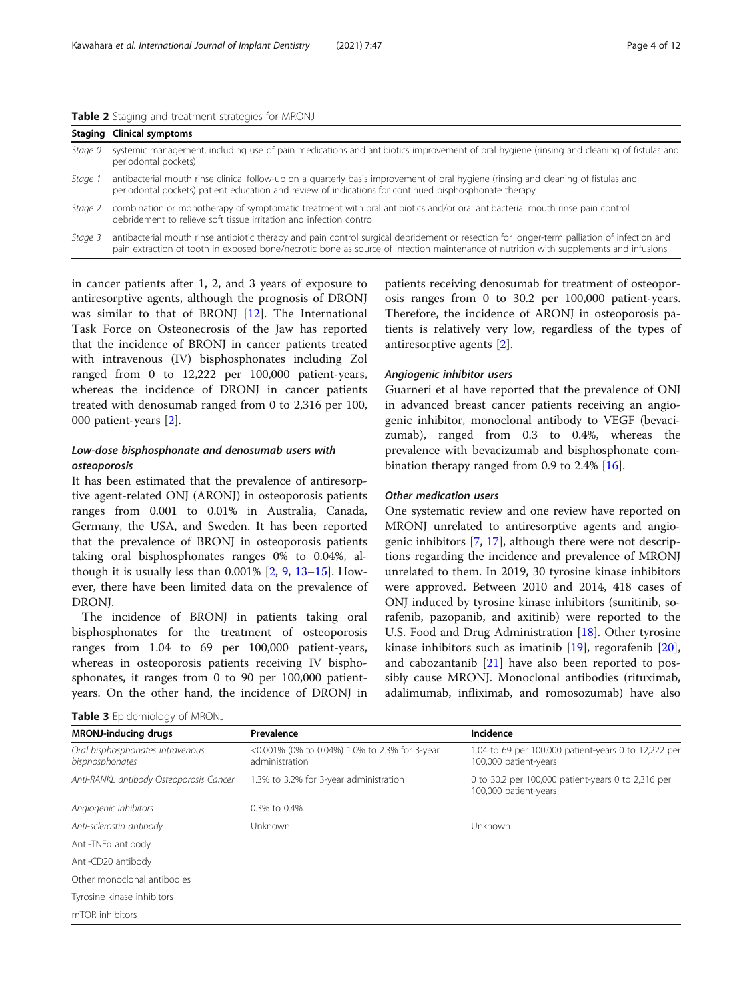<span id="page-3-0"></span>Table 2 Staging and treatment strategies for MRONJ

|         | <b>Staging Clinical symptoms</b>                                                                                                                                                                                                                                                     |
|---------|--------------------------------------------------------------------------------------------------------------------------------------------------------------------------------------------------------------------------------------------------------------------------------------|
| Stage 0 | systemic management, including use of pain medications and antibiotics improvement of oral hygiene (rinsing and cleaning of fistulas and<br>periodontal pockets)                                                                                                                     |
| Stage 1 | antibacterial mouth rinse clinical follow-up on a quarterly basis improvement of oral hygiene (rinsing and cleaning of fistulas and<br>periodontal pockets) patient education and review of indications for continued bisphosphonate therapy                                         |
| Stage 2 | combination or monotherapy of symptomatic treatment with oral antibiotics and/or oral antibacterial mouth rinse pain control<br>debridement to relieve soft tissue irritation and infection control                                                                                  |
| Stage 3 | antibacterial mouth rinse antibiotic therapy and pain control surgical debridement or resection for longer-term palliation of infection and<br>pain extraction of tooth in exposed bone/necrotic bone as source of infection maintenance of nutrition with supplements and infusions |

in cancer patients after 1, 2, and 3 years of exposure to antiresorptive agents, although the prognosis of DRONJ was similar to that of BRONJ [[12\]](#page-9-0). The International Task Force on Osteonecrosis of the Jaw has reported that the incidence of BRONJ in cancer patients treated with intravenous (IV) bisphosphonates including Zol ranged from 0 to 12,222 per 100,000 patient-years, whereas the incidence of DRONJ in cancer patients treated with denosumab ranged from 0 to 2,316 per 100, 000 patient-years [\[2\]](#page-9-0).

## Low-dose bisphosphonate and denosumab users with osteoporosis

It has been estimated that the prevalence of antiresorptive agent-related ONJ (ARONJ) in osteoporosis patients ranges from 0.001 to 0.01% in Australia, Canada, Germany, the USA, and Sweden. It has been reported that the prevalence of BRONJ in osteoporosis patients taking oral bisphosphonates ranges 0% to 0.04%, although it is usually less than  $0.001\%$  [[2,](#page-9-0) [9](#page-9-0), [13](#page-9-0)–[15\]](#page-9-0). However, there have been limited data on the prevalence of DRONJ.

The incidence of BRONJ in patients taking oral bisphosphonates for the treatment of osteoporosis ranges from 1.04 to 69 per 100,000 patient-years, whereas in osteoporosis patients receiving IV bisphosphonates, it ranges from 0 to 90 per 100,000 patientyears. On the other hand, the incidence of DRONJ in

|  | Table 3 Epidemiology of MRONJ |  |
|--|-------------------------------|--|
|--|-------------------------------|--|

patients receiving denosumab for treatment of osteoporosis ranges from 0 to 30.2 per 100,000 patient-years. Therefore, the incidence of ARONJ in osteoporosis patients is relatively very low, regardless of the types of antiresorptive agents [[2\]](#page-9-0).

## Angiogenic inhibitor users

Guarneri et al have reported that the prevalence of ONJ in advanced breast cancer patients receiving an angiogenic inhibitor, monoclonal antibody to VEGF (bevacizumab), ranged from 0.3 to 0.4%, whereas the prevalence with bevacizumab and bisphosphonate com-bination therapy ranged from 0.9 to 2.4% [[16](#page-9-0)].

## Other medication users

One systematic review and one review have reported on MRONJ unrelated to antiresorptive agents and angiogenic inhibitors [[7,](#page-9-0) [17\]](#page-9-0), although there were not descriptions regarding the incidence and prevalence of MRONJ unrelated to them. In 2019, 30 tyrosine kinase inhibitors were approved. Between 2010 and 2014, 418 cases of ONJ induced by tyrosine kinase inhibitors (sunitinib, sorafenib, pazopanib, and axitinib) were reported to the U.S. Food and Drug Administration [[18\]](#page-9-0). Other tyrosine kinase inhibitors such as imatinib [[19](#page-9-0)], regorafenib [\[20](#page-9-0)], and cabozantanib  $[21]$  $[21]$  have also been reported to possibly cause MRONJ. Monoclonal antibodies (rituximab, adalimumab, infliximab, and romosozumab) have also

| <b>MRONJ-inducing drugs</b>                         | Prevalence                                                      | Incidence                                                                     |
|-----------------------------------------------------|-----------------------------------------------------------------|-------------------------------------------------------------------------------|
| Oral bisphosphonates Intravenous<br>bisphosphonates | <0.001% (0% to 0.04%) 1.0% to 2.3% for 3-year<br>administration | 1.04 to 69 per 100,000 patient-years 0 to 12,222 per<br>100,000 patient-years |
| Anti-RANKL antibody Osteoporosis Cancer             | 1.3% to 3.2% for 3-year administration                          | 0 to 30.2 per 100,000 patient-years 0 to 2,316 per<br>100,000 patient-years   |
| Angiogenic inhibitors                               | 0.3% to 0.4%                                                    |                                                                               |
| Anti-sclerostin antibody                            | Unknown                                                         | Unknown                                                                       |
| Anti-TNFa antibody                                  |                                                                 |                                                                               |
| Anti-CD20 antibody                                  |                                                                 |                                                                               |
| Other monoclonal antibodies                         |                                                                 |                                                                               |
| Tyrosine kinase inhibitors                          |                                                                 |                                                                               |
| mTOR inhibitors                                     |                                                                 |                                                                               |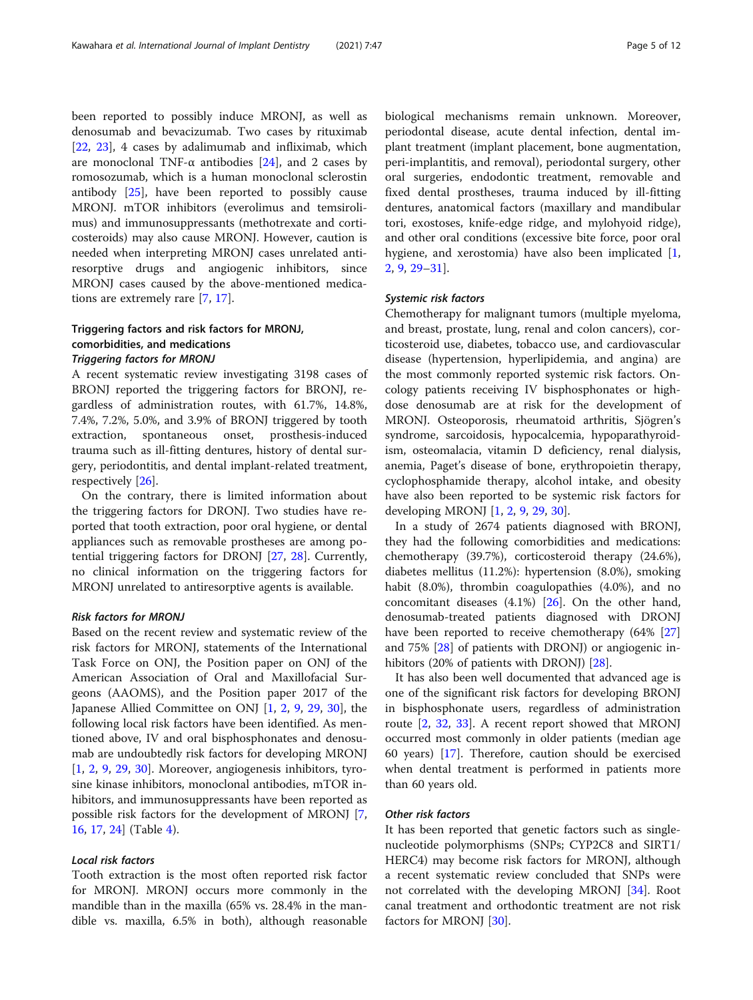been reported to possibly induce MRONJ, as well as denosumab and bevacizumab. Two cases by rituximab [[22,](#page-9-0) [23](#page-9-0)], 4 cases by adalimumab and infliximab, which are monoclonal TNF-α antibodies [[24\]](#page-9-0), and 2 cases by romosozumab, which is a human monoclonal sclerostin antibody [[25](#page-10-0)], have been reported to possibly cause MRONJ. mTOR inhibitors (everolimus and temsirolimus) and immunosuppressants (methotrexate and corticosteroids) may also cause MRONJ. However, caution is needed when interpreting MRONJ cases unrelated antiresorptive drugs and angiogenic inhibitors, since MRONJ cases caused by the above-mentioned medications are extremely rare [\[7](#page-9-0), [17](#page-9-0)].

## Triggering factors and risk factors for MRONJ, comorbidities, and medications Triggering factors for MRONJ

A recent systematic review investigating 3198 cases of BRONJ reported the triggering factors for BRONJ, regardless of administration routes, with 61.7%, 14.8%, 7.4%, 7.2%, 5.0%, and 3.9% of BRONJ triggered by tooth extraction, spontaneous onset, prosthesis-induced trauma such as ill-fitting dentures, history of dental surgery, periodontitis, and dental implant-related treatment, respectively [\[26](#page-10-0)].

On the contrary, there is limited information about the triggering factors for DRONJ. Two studies have reported that tooth extraction, poor oral hygiene, or dental appliances such as removable prostheses are among potential triggering factors for DRONJ [\[27](#page-10-0), [28](#page-10-0)]. Currently, no clinical information on the triggering factors for MRONJ unrelated to antiresorptive agents is available.

## Risk factors for MRONJ

Based on the recent review and systematic review of the risk factors for MRONJ, statements of the International Task Force on ONJ, the Position paper on ONJ of the American Association of Oral and Maxillofacial Surgeons (AAOMS), and the Position paper 2017 of the Japanese Allied Committee on ONJ [[1](#page-9-0), [2](#page-9-0), [9,](#page-9-0) [29](#page-10-0), [30\]](#page-10-0), the following local risk factors have been identified. As mentioned above, IV and oral bisphosphonates and denosumab are undoubtedly risk factors for developing MRONJ [[1,](#page-9-0) [2](#page-9-0), [9,](#page-9-0) [29](#page-10-0), [30\]](#page-10-0). Moreover, angiogenesis inhibitors, tyrosine kinase inhibitors, monoclonal antibodies, mTOR inhibitors, and immunosuppressants have been reported as possible risk factors for the development of MRONJ [\[7](#page-9-0), [16,](#page-9-0) [17](#page-9-0), [24](#page-9-0)] (Table [4](#page-5-0)).

## Local risk factors

Tooth extraction is the most often reported risk factor for MRONJ. MRONJ occurs more commonly in the mandible than in the maxilla (65% vs. 28.4% in the mandible vs. maxilla, 6.5% in both), although reasonable

biological mechanisms remain unknown. Moreover, periodontal disease, acute dental infection, dental implant treatment (implant placement, bone augmentation, peri-implantitis, and removal), periodontal surgery, other oral surgeries, endodontic treatment, removable and fixed dental prostheses, trauma induced by ill-fitting dentures, anatomical factors (maxillary and mandibular tori, exostoses, knife-edge ridge, and mylohyoid ridge), and other oral conditions (excessive bite force, poor oral hygiene, and xerostomia) have also been implicated [\[1](#page-9-0), [2,](#page-9-0) [9,](#page-9-0) [29](#page-10-0)–[31](#page-10-0)].

#### Systemic risk factors

Chemotherapy for malignant tumors (multiple myeloma, and breast, prostate, lung, renal and colon cancers), corticosteroid use, diabetes, tobacco use, and cardiovascular disease (hypertension, hyperlipidemia, and angina) are the most commonly reported systemic risk factors. Oncology patients receiving IV bisphosphonates or highdose denosumab are at risk for the development of MRONJ. Osteoporosis, rheumatoid arthritis, Sjögren's syndrome, sarcoidosis, hypocalcemia, hypoparathyroidism, osteomalacia, vitamin D deficiency, renal dialysis, anemia, Paget's disease of bone, erythropoietin therapy, cyclophosphamide therapy, alcohol intake, and obesity have also been reported to be systemic risk factors for developing MRONJ [\[1](#page-9-0), [2](#page-9-0), [9](#page-9-0), [29,](#page-10-0) [30\]](#page-10-0).

In a study of 2674 patients diagnosed with BRONJ, they had the following comorbidities and medications: chemotherapy (39.7%), corticosteroid therapy (24.6%), diabetes mellitus (11.2%): hypertension (8.0%), smoking habit (8.0%), thrombin coagulopathies (4.0%), and no concomitant diseases (4.1%) [\[26](#page-10-0)]. On the other hand, denosumab-treated patients diagnosed with DRONJ have been reported to receive chemotherapy (64% [[27](#page-10-0)] and 75% [\[28\]](#page-10-0) of patients with DRONJ) or angiogenic in-hibitors (20% of patients with DRONJ) [\[28\]](#page-10-0).

It has also been well documented that advanced age is one of the significant risk factors for developing BRONJ in bisphosphonate users, regardless of administration route [[2,](#page-9-0) [32,](#page-10-0) [33\]](#page-10-0). A recent report showed that MRONJ occurred most commonly in older patients (median age 60 years) [\[17](#page-9-0)]. Therefore, caution should be exercised when dental treatment is performed in patients more than 60 years old.

## Other risk factors

It has been reported that genetic factors such as singlenucleotide polymorphisms (SNPs; CYP2C8 and SIRT1/ HERC4) may become risk factors for MRONJ, although a recent systematic review concluded that SNPs were not correlated with the developing MRONJ [\[34](#page-10-0)]. Root canal treatment and orthodontic treatment are not risk factors for MRONJ [\[30\]](#page-10-0).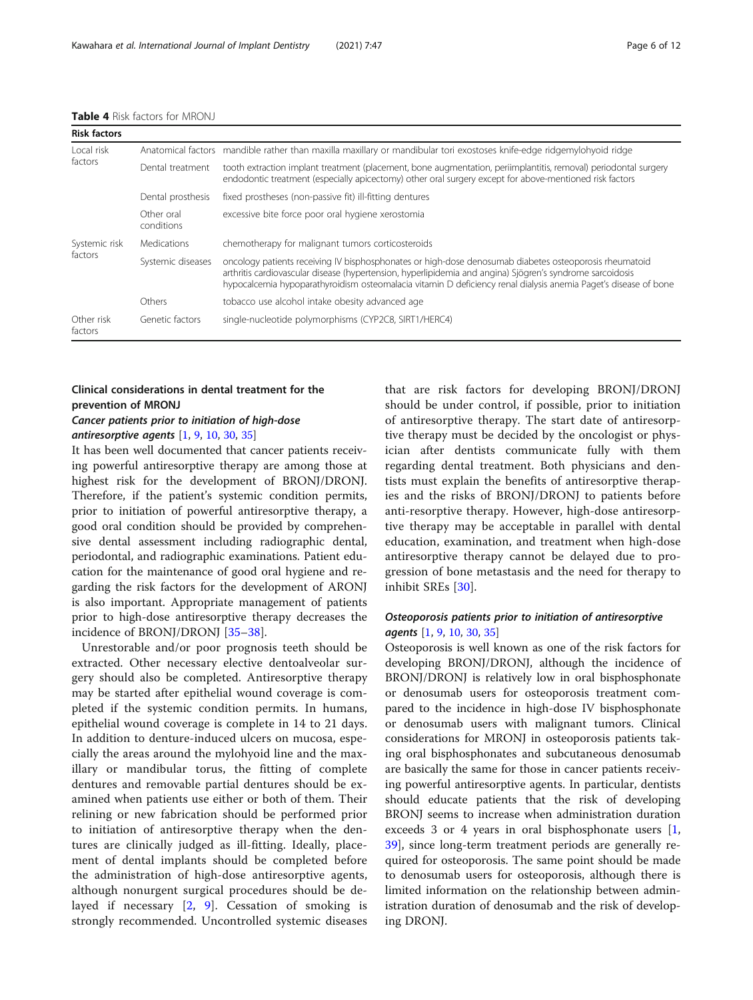<span id="page-5-0"></span>

| <b>Table 4</b> Risk factors for MRONJ |  |  |  |  |
|---------------------------------------|--|--|--|--|
|---------------------------------------|--|--|--|--|

| <b>Risk factors</b>   |                          |                                                                                                                                                                                                                                                                                                                                        |
|-----------------------|--------------------------|----------------------------------------------------------------------------------------------------------------------------------------------------------------------------------------------------------------------------------------------------------------------------------------------------------------------------------------|
| Local risk<br>factors | Anatomical factors       | mandible rather than maxilla maxillary or mandibular tori exostoses knife-edge ridgemylohyoid ridge                                                                                                                                                                                                                                    |
|                       | Dental treatment         | tooth extraction implant treatment (placement, bone augmentation, periimplantitis, removal) periodontal surgery<br>endodontic treatment (especially apicectomy) other oral surgery except for above-mentioned risk factors                                                                                                             |
|                       | Dental prosthesis        | fixed prostheses (non-passive fit) ill-fitting dentures                                                                                                                                                                                                                                                                                |
|                       | Other oral<br>conditions | excessive bite force poor oral hygiene xerostomia                                                                                                                                                                                                                                                                                      |
| Systemic risk         | Medications              | chemotherapy for malignant tumors corticosteroids                                                                                                                                                                                                                                                                                      |
| factors               | Systemic diseases        | oncology patients receiving IV bisphosphonates or high-dose denosumab diabetes osteoporosis rheumatoid<br>arthritis cardiovascular disease (hypertension, hyperlipidemia and angina) Sjögren's syndrome sarcoidosis<br>hypocalcemia hypoparathyroidism osteomalacia vitamin D deficiency renal dialysis anemia Paget's disease of bone |
|                       | Others                   | tobacco use alcohol intake obesity advanced age                                                                                                                                                                                                                                                                                        |
| Other risk<br>factors | Genetic factors          | single-nucleotide polymorphisms (CYP2C8, SIRT1/HERC4)                                                                                                                                                                                                                                                                                  |

## Clinical considerations in dental treatment for the prevention of MRONJ

## Cancer patients prior to initiation of high-dose antiresorptive agents  $[1, 9, 10, 30, 35]$  $[1, 9, 10, 30, 35]$  $[1, 9, 10, 30, 35]$  $[1, 9, 10, 30, 35]$  $[1, 9, 10, 30, 35]$  $[1, 9, 10, 30, 35]$  $[1, 9, 10, 30, 35]$  $[1, 9, 10, 30, 35]$  $[1, 9, 10, 30, 35]$  $[1, 9, 10, 30, 35]$

It has been well documented that cancer patients receiving powerful antiresorptive therapy are among those at highest risk for the development of BRONJ/DRONJ. Therefore, if the patient's systemic condition permits, prior to initiation of powerful antiresorptive therapy, a good oral condition should be provided by comprehensive dental assessment including radiographic dental, periodontal, and radiographic examinations. Patient education for the maintenance of good oral hygiene and regarding the risk factors for the development of ARONJ is also important. Appropriate management of patients prior to high-dose antiresorptive therapy decreases the incidence of BRONJ/DRONJ [\[35](#page-10-0)–[38](#page-10-0)].

Unrestorable and/or poor prognosis teeth should be extracted. Other necessary elective dentoalveolar surgery should also be completed. Antiresorptive therapy may be started after epithelial wound coverage is completed if the systemic condition permits. In humans, epithelial wound coverage is complete in 14 to 21 days. In addition to denture-induced ulcers on mucosa, especially the areas around the mylohyoid line and the maxillary or mandibular torus, the fitting of complete dentures and removable partial dentures should be examined when patients use either or both of them. Their relining or new fabrication should be performed prior to initiation of antiresorptive therapy when the dentures are clinically judged as ill-fitting. Ideally, placement of dental implants should be completed before the administration of high-dose antiresorptive agents, although nonurgent surgical procedures should be delayed if necessary [[2,](#page-9-0) [9\]](#page-9-0). Cessation of smoking is strongly recommended. Uncontrolled systemic diseases

that are risk factors for developing BRONJ/DRONJ should be under control, if possible, prior to initiation of antiresorptive therapy. The start date of antiresorptive therapy must be decided by the oncologist or physician after dentists communicate fully with them regarding dental treatment. Both physicians and dentists must explain the benefits of antiresorptive therapies and the risks of BRONJ/DRONJ to patients before anti-resorptive therapy. However, high-dose antiresorptive therapy may be acceptable in parallel with dental education, examination, and treatment when high-dose antiresorptive therapy cannot be delayed due to progression of bone metastasis and the need for therapy to inhibit SREs [[30\]](#page-10-0).

## Osteoporosis patients prior to initiation of antiresorptive agents [\[1,](#page-9-0) [9](#page-9-0), [10](#page-9-0), [30](#page-10-0), [35](#page-10-0)]

Osteoporosis is well known as one of the risk factors for developing BRONJ/DRONJ, although the incidence of BRONJ/DRONJ is relatively low in oral bisphosphonate or denosumab users for osteoporosis treatment compared to the incidence in high-dose IV bisphosphonate or denosumab users with malignant tumors. Clinical considerations for MRONJ in osteoporosis patients taking oral bisphosphonates and subcutaneous denosumab are basically the same for those in cancer patients receiving powerful antiresorptive agents. In particular, dentists should educate patients that the risk of developing BRONJ seems to increase when administration duration exceeds 3 or 4 years in oral bisphosphonate users [\[1](#page-9-0), [39\]](#page-10-0), since long-term treatment periods are generally required for osteoporosis. The same point should be made to denosumab users for osteoporosis, although there is limited information on the relationship between administration duration of denosumab and the risk of developing DRONJ.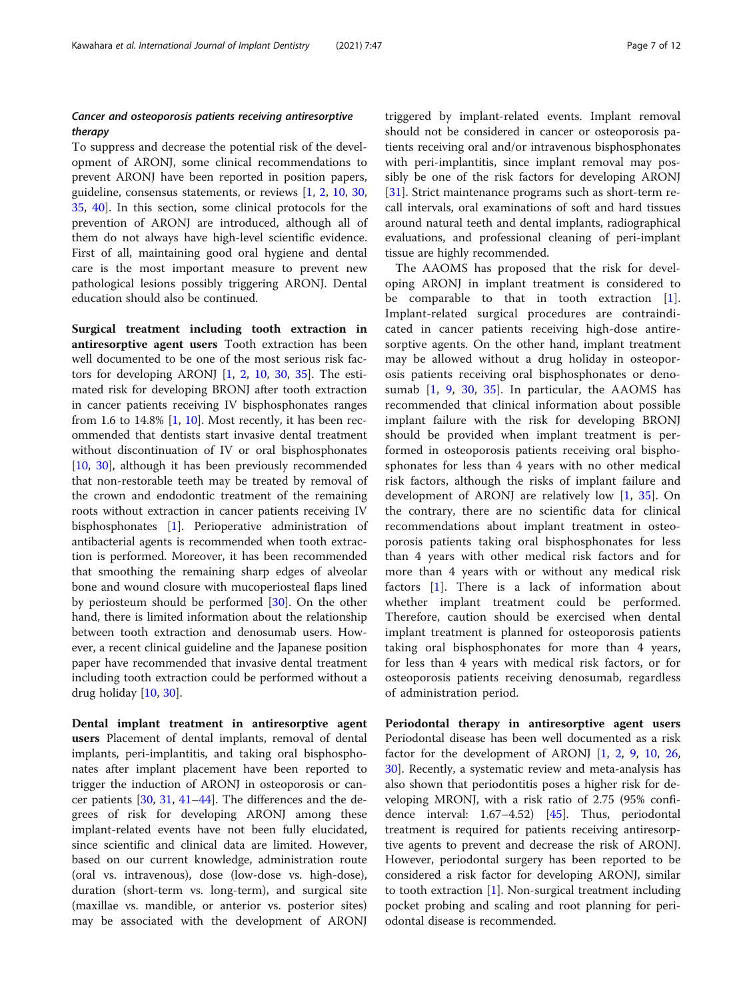## Cancer and osteoporosis patients receiving antiresorptive therapy

To suppress and decrease the potential risk of the development of ARONJ, some clinical recommendations to prevent ARONJ have been reported in position papers, guideline, consensus statements, or reviews [\[1](#page-9-0), [2,](#page-9-0) [10](#page-9-0), [30](#page-10-0), [35,](#page-10-0) [40\]](#page-10-0). In this section, some clinical protocols for the prevention of ARONJ are introduced, although all of them do not always have high-level scientific evidence. First of all, maintaining good oral hygiene and dental care is the most important measure to prevent new pathological lesions possibly triggering ARONJ. Dental education should also be continued.

Surgical treatment including tooth extraction in antiresorptive agent users Tooth extraction has been well documented to be one of the most serious risk factors for developing ARONJ  $[1, 2, 10, 30, 35]$  $[1, 2, 10, 30, 35]$  $[1, 2, 10, 30, 35]$  $[1, 2, 10, 30, 35]$  $[1, 2, 10, 30, 35]$  $[1, 2, 10, 30, 35]$  $[1, 2, 10, 30, 35]$  $[1, 2, 10, 30, 35]$  $[1, 2, 10, 30, 35]$  $[1, 2, 10, 30, 35]$  $[1, 2, 10, 30, 35]$ . The estimated risk for developing BRONJ after tooth extraction in cancer patients receiving IV bisphosphonates ranges from 1.6 to 14.8%  $[1, 10]$  $[1, 10]$  $[1, 10]$  $[1, 10]$ . Most recently, it has been recommended that dentists start invasive dental treatment without discontinuation of IV or oral bisphosphonates [[10,](#page-9-0) [30\]](#page-10-0), although it has been previously recommended that non-restorable teeth may be treated by removal of the crown and endodontic treatment of the remaining roots without extraction in cancer patients receiving IV bisphosphonates [\[1](#page-9-0)]. Perioperative administration of antibacterial agents is recommended when tooth extraction is performed. Moreover, it has been recommended that smoothing the remaining sharp edges of alveolar bone and wound closure with mucoperiosteal flaps lined by periosteum should be performed [\[30](#page-10-0)]. On the other hand, there is limited information about the relationship between tooth extraction and denosumab users. However, a recent clinical guideline and the Japanese position paper have recommended that invasive dental treatment including tooth extraction could be performed without a drug holiday [\[10](#page-9-0), [30\]](#page-10-0).

Dental implant treatment in antiresorptive agent users Placement of dental implants, removal of dental implants, peri-implantitis, and taking oral bisphosphonates after implant placement have been reported to trigger the induction of ARONJ in osteoporosis or cancer patients [\[30,](#page-10-0) [31](#page-10-0), [41](#page-10-0)–[44](#page-10-0)]. The differences and the degrees of risk for developing ARONJ among these implant-related events have not been fully elucidated, since scientific and clinical data are limited. However, based on our current knowledge, administration route (oral vs. intravenous), dose (low-dose vs. high-dose), duration (short-term vs. long-term), and surgical site (maxillae vs. mandible, or anterior vs. posterior sites) may be associated with the development of ARONJ triggered by implant-related events. Implant removal should not be considered in cancer or osteoporosis patients receiving oral and/or intravenous bisphosphonates with peri-implantitis, since implant removal may possibly be one of the risk factors for developing ARONJ [[31\]](#page-10-0). Strict maintenance programs such as short-term recall intervals, oral examinations of soft and hard tissues around natural teeth and dental implants, radiographical evaluations, and professional cleaning of peri-implant tissue are highly recommended.

The AAOMS has proposed that the risk for developing ARONJ in implant treatment is considered to be comparable to that in tooth extraction [\[1](#page-9-0)]. Implant-related surgical procedures are contraindicated in cancer patients receiving high-dose antiresorptive agents. On the other hand, implant treatment may be allowed without a drug holiday in osteoporosis patients receiving oral bisphosphonates or denosumab  $[1, 9, 30, 35]$  $[1, 9, 30, 35]$  $[1, 9, 30, 35]$  $[1, 9, 30, 35]$  $[1, 9, 30, 35]$  $[1, 9, 30, 35]$  $[1, 9, 30, 35]$ . In particular, the AAOMS has recommended that clinical information about possible implant failure with the risk for developing BRONJ should be provided when implant treatment is performed in osteoporosis patients receiving oral bisphosphonates for less than 4 years with no other medical risk factors, although the risks of implant failure and development of ARONJ are relatively low [[1,](#page-9-0) [35](#page-10-0)]. On the contrary, there are no scientific data for clinical recommendations about implant treatment in osteoporosis patients taking oral bisphosphonates for less than 4 years with other medical risk factors and for more than 4 years with or without any medical risk factors [\[1](#page-9-0)]. There is a lack of information about whether implant treatment could be performed. Therefore, caution should be exercised when dental implant treatment is planned for osteoporosis patients taking oral bisphosphonates for more than 4 years, for less than 4 years with medical risk factors, or for osteoporosis patients receiving denosumab, regardless of administration period.

Periodontal therapy in antiresorptive agent users Periodontal disease has been well documented as a risk factor for the development of ARONJ [\[1](#page-9-0), [2,](#page-9-0) [9](#page-9-0), [10,](#page-9-0) [26](#page-10-0), [30\]](#page-10-0). Recently, a systematic review and meta-analysis has also shown that periodontitis poses a higher risk for developing MRONJ, with a risk ratio of 2.75 (95% confidence interval: 1.67–4.52) [\[45\]](#page-10-0). Thus, periodontal treatment is required for patients receiving antiresorptive agents to prevent and decrease the risk of ARONJ. However, periodontal surgery has been reported to be considered a risk factor for developing ARONJ, similar to tooth extraction [\[1](#page-9-0)]. Non-surgical treatment including pocket probing and scaling and root planning for periodontal disease is recommended.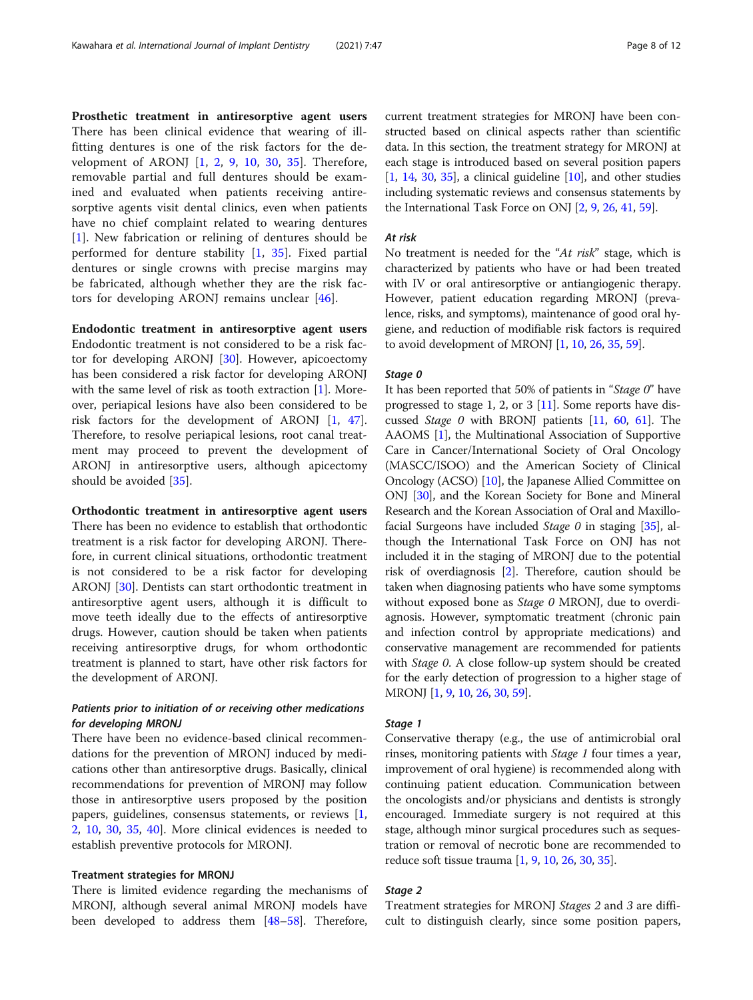Prosthetic treatment in antiresorptive agent users There has been clinical evidence that wearing of illfitting dentures is one of the risk factors for the development of ARONJ  $\left[1, 2, 9, 10, 30, 35\right]$  $\left[1, 2, 9, 10, 30, 35\right]$  $\left[1, 2, 9, 10, 30, 35\right]$  $\left[1, 2, 9, 10, 30, 35\right]$  $\left[1, 2, 9, 10, 30, 35\right]$  $\left[1, 2, 9, 10, 30, 35\right]$  $\left[1, 2, 9, 10, 30, 35\right]$  $\left[1, 2, 9, 10, 30, 35\right]$  $\left[1, 2, 9, 10, 30, 35\right]$  $\left[1, 2, 9, 10, 30, 35\right]$  $\left[1, 2, 9, 10, 30, 35\right]$  $\left[1, 2, 9, 10, 30, 35\right]$  $\left[1, 2, 9, 10, 30, 35\right]$ . Therefore, removable partial and full dentures should be examined and evaluated when patients receiving antiresorptive agents visit dental clinics, even when patients have no chief complaint related to wearing dentures [[1\]](#page-9-0). New fabrication or relining of dentures should be performed for denture stability [\[1](#page-9-0), [35\]](#page-10-0). Fixed partial dentures or single crowns with precise margins may be fabricated, although whether they are the risk factors for developing ARONJ remains unclear [[46\]](#page-10-0).

Endodontic treatment in antiresorptive agent users Endodontic treatment is not considered to be a risk factor for developing ARONJ [[30](#page-10-0)]. However, apicoectomy has been considered a risk factor for developing ARONJ with the same level of risk as tooth extraction [\[1](#page-9-0)]. Moreover, periapical lesions have also been considered to be risk factors for the development of ARONJ [\[1](#page-9-0), [47](#page-10-0)]. Therefore, to resolve periapical lesions, root canal treatment may proceed to prevent the development of ARONJ in antiresorptive users, although apicectomy should be avoided [[35\]](#page-10-0).

# Orthodontic treatment in antiresorptive agent users

There has been no evidence to establish that orthodontic treatment is a risk factor for developing ARONJ. Therefore, in current clinical situations, orthodontic treatment is not considered to be a risk factor for developing ARONJ [\[30](#page-10-0)]. Dentists can start orthodontic treatment in antiresorptive agent users, although it is difficult to move teeth ideally due to the effects of antiresorptive drugs. However, caution should be taken when patients receiving antiresorptive drugs, for whom orthodontic treatment is planned to start, have other risk factors for the development of ARONJ.

## Patients prior to initiation of or receiving other medications for developing MRONJ

There have been no evidence-based clinical recommendations for the prevention of MRONJ induced by medications other than antiresorptive drugs. Basically, clinical recommendations for prevention of MRONJ may follow those in antiresorptive users proposed by the position papers, guidelines, consensus statements, or reviews [\[1](#page-9-0), [2,](#page-9-0) [10,](#page-9-0) [30,](#page-10-0) [35](#page-10-0), [40](#page-10-0)]. More clinical evidences is needed to establish preventive protocols for MRONJ.

## Treatment strategies for MRONJ

There is limited evidence regarding the mechanisms of MRONJ, although several animal MRONJ models have been developed to address them [[48](#page-10-0)–[58\]](#page-10-0). Therefore, current treatment strategies for MRONJ have been constructed based on clinical aspects rather than scientific data. In this section, the treatment strategy for MRONJ at each stage is introduced based on several position papers  $[1, 14, 30, 35]$  $[1, 14, 30, 35]$  $[1, 14, 30, 35]$  $[1, 14, 30, 35]$  $[1, 14, 30, 35]$  $[1, 14, 30, 35]$  $[1, 14, 30, 35]$  $[1, 14, 30, 35]$  $[1, 14, 30, 35]$ , a clinical guideline  $[10]$  $[10]$ , and other studies including systematic reviews and consensus statements by the International Task Force on ONJ [\[2,](#page-9-0) [9](#page-9-0), [26,](#page-10-0) [41,](#page-10-0) [59](#page-10-0)].

#### At risk

No treatment is needed for the "At risk" stage, which is characterized by patients who have or had been treated with IV or oral antiresorptive or antiangiogenic therapy. However, patient education regarding MRONJ (prevalence, risks, and symptoms), maintenance of good oral hygiene, and reduction of modifiable risk factors is required to avoid development of MRONJ [[1,](#page-9-0) [10,](#page-9-0) [26](#page-10-0), [35,](#page-10-0) [59\]](#page-10-0).

#### Stage 0

It has been reported that 50% of patients in "Stage 0" have progressed to stage 1, 2, or  $3$  [[11](#page-9-0)]. Some reports have discussed Stage 0 with BRONJ patients [\[11,](#page-9-0) [60](#page-11-0), [61](#page-11-0)]. The AAOMS [[1](#page-9-0)], the Multinational Association of Supportive Care in Cancer/International Society of Oral Oncology (MASCC/ISOO) and the American Society of Clinical Oncology (ACSO) [\[10\]](#page-9-0), the Japanese Allied Committee on ONJ [[30](#page-10-0)], and the Korean Society for Bone and Mineral Research and the Korean Association of Oral and Maxillofacial Surgeons have included *Stage 0* in staging  $[35]$  $[35]$  $[35]$ , although the International Task Force on ONJ has not included it in the staging of MRONJ due to the potential risk of overdiagnosis [\[2\]](#page-9-0). Therefore, caution should be taken when diagnosing patients who have some symptoms without exposed bone as *Stage 0* MRONJ, due to overdiagnosis. However, symptomatic treatment (chronic pain and infection control by appropriate medications) and conservative management are recommended for patients with Stage 0. A close follow-up system should be created for the early detection of progression to a higher stage of MRONJ [\[1](#page-9-0), [9,](#page-9-0) [10](#page-9-0), [26](#page-10-0), [30,](#page-10-0) [59](#page-10-0)].

### Stage 1

Conservative therapy (e.g., the use of antimicrobial oral rinses, monitoring patients with Stage 1 four times a year, improvement of oral hygiene) is recommended along with continuing patient education. Communication between the oncologists and/or physicians and dentists is strongly encouraged. Immediate surgery is not required at this stage, although minor surgical procedures such as sequestration or removal of necrotic bone are recommended to reduce soft tissue trauma [[1,](#page-9-0) [9](#page-9-0), [10,](#page-9-0) [26,](#page-10-0) [30](#page-10-0), [35\]](#page-10-0).

#### Stage 2

Treatment strategies for MRONJ Stages 2 and 3 are difficult to distinguish clearly, since some position papers,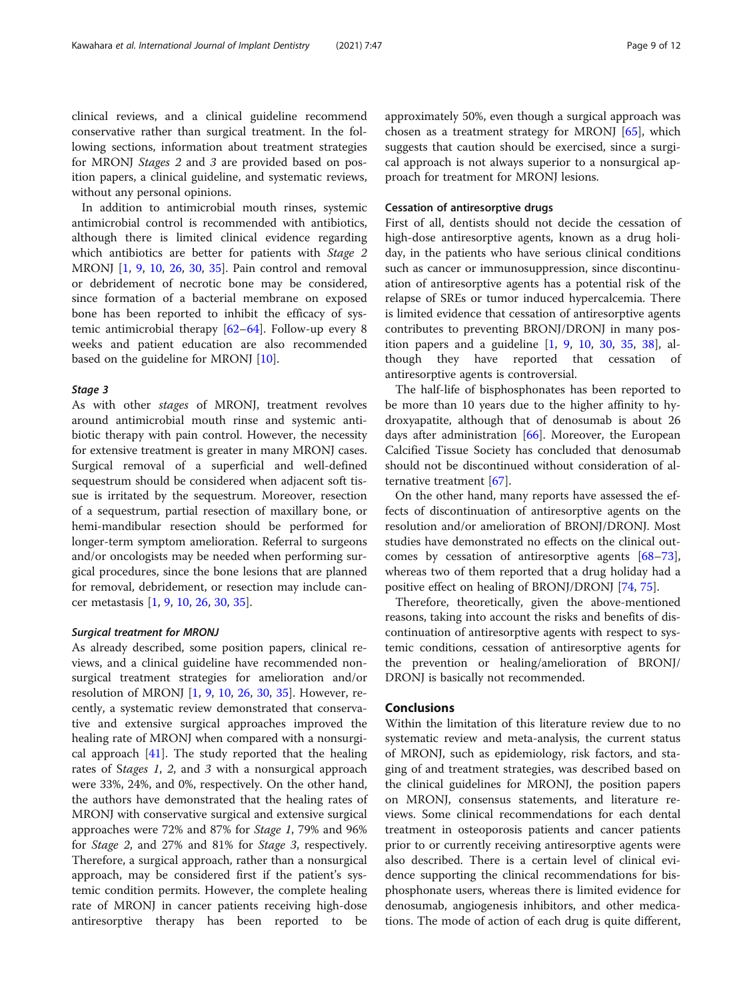clinical reviews, and a clinical guideline recommend conservative rather than surgical treatment. In the following sections, information about treatment strategies for MRONJ Stages 2 and 3 are provided based on position papers, a clinical guideline, and systematic reviews, without any personal opinions.

In addition to antimicrobial mouth rinses, systemic antimicrobial control is recommended with antibiotics, although there is limited clinical evidence regarding which antibiotics are better for patients with Stage 2 MRONJ [[1,](#page-9-0) [9,](#page-9-0) [10](#page-9-0), [26,](#page-10-0) [30,](#page-10-0) [35](#page-10-0)]. Pain control and removal or debridement of necrotic bone may be considered, since formation of a bacterial membrane on exposed bone has been reported to inhibit the efficacy of systemic antimicrobial therapy [[62](#page-11-0)–[64](#page-11-0)]. Follow-up every 8 weeks and patient education are also recommended based on the guideline for MRONJ [[10\]](#page-9-0).

#### Stage 3

As with other stages of MRONJ, treatment revolves around antimicrobial mouth rinse and systemic antibiotic therapy with pain control. However, the necessity for extensive treatment is greater in many MRONJ cases. Surgical removal of a superficial and well-defined sequestrum should be considered when adjacent soft tissue is irritated by the sequestrum. Moreover, resection of a sequestrum, partial resection of maxillary bone, or hemi-mandibular resection should be performed for longer-term symptom amelioration. Referral to surgeons and/or oncologists may be needed when performing surgical procedures, since the bone lesions that are planned for removal, debridement, or resection may include cancer metastasis [[1,](#page-9-0) [9,](#page-9-0) [10,](#page-9-0) [26,](#page-10-0) [30](#page-10-0), [35](#page-10-0)].

#### Surgical treatment for MRONJ

As already described, some position papers, clinical reviews, and a clinical guideline have recommended nonsurgical treatment strategies for amelioration and/or resolution of MRONJ [\[1](#page-9-0), [9](#page-9-0), [10,](#page-9-0) [26,](#page-10-0) [30](#page-10-0), [35](#page-10-0)]. However, recently, a systematic review demonstrated that conservative and extensive surgical approaches improved the healing rate of MRONJ when compared with a nonsurgical approach  $[41]$  $[41]$ . The study reported that the healing rates of Stages 1, 2, and 3 with a nonsurgical approach were 33%, 24%, and 0%, respectively. On the other hand, the authors have demonstrated that the healing rates of MRONJ with conservative surgical and extensive surgical approaches were 72% and 87% for Stage 1, 79% and 96% for Stage 2, and 27% and 81% for Stage 3, respectively. Therefore, a surgical approach, rather than a nonsurgical approach, may be considered first if the patient's systemic condition permits. However, the complete healing rate of MRONJ in cancer patients receiving high-dose antiresorptive therapy has been reported to be approximately 50%, even though a surgical approach was chosen as a treatment strategy for MRONJ [[65\]](#page-11-0), which suggests that caution should be exercised, since a surgical approach is not always superior to a nonsurgical approach for treatment for MRONJ lesions.

## Cessation of antiresorptive drugs

First of all, dentists should not decide the cessation of high-dose antiresorptive agents, known as a drug holiday, in the patients who have serious clinical conditions such as cancer or immunosuppression, since discontinuation of antiresorptive agents has a potential risk of the relapse of SREs or tumor induced hypercalcemia. There is limited evidence that cessation of antiresorptive agents contributes to preventing BRONJ/DRONJ in many position papers and a guideline [\[1,](#page-9-0) [9,](#page-9-0) [10,](#page-9-0) [30](#page-10-0), [35](#page-10-0), [38\]](#page-10-0), although they have reported that cessation of antiresorptive agents is controversial.

The half-life of bisphosphonates has been reported to be more than 10 years due to the higher affinity to hydroxyapatite, although that of denosumab is about 26 days after administration  $[66]$  $[66]$  $[66]$ . Moreover, the European Calcified Tissue Society has concluded that denosumab should not be discontinued without consideration of alternative treatment [\[67](#page-11-0)].

On the other hand, many reports have assessed the effects of discontinuation of antiresorptive agents on the resolution and/or amelioration of BRONJ/DRONJ. Most studies have demonstrated no effects on the clinical outcomes by cessation of antiresorptive agents [[68](#page-11-0)–[73](#page-11-0)], whereas two of them reported that a drug holiday had a positive effect on healing of BRONJ/DRONJ [[74,](#page-11-0) [75\]](#page-11-0).

Therefore, theoretically, given the above-mentioned reasons, taking into account the risks and benefits of discontinuation of antiresorptive agents with respect to systemic conditions, cessation of antiresorptive agents for the prevention or healing/amelioration of BRONJ/ DRONJ is basically not recommended.

## Conclusions

Within the limitation of this literature review due to no systematic review and meta-analysis, the current status of MRONJ, such as epidemiology, risk factors, and staging of and treatment strategies, was described based on the clinical guidelines for MRONJ, the position papers on MRONJ, consensus statements, and literature reviews. Some clinical recommendations for each dental treatment in osteoporosis patients and cancer patients prior to or currently receiving antiresorptive agents were also described. There is a certain level of clinical evidence supporting the clinical recommendations for bisphosphonate users, whereas there is limited evidence for denosumab, angiogenesis inhibitors, and other medications. The mode of action of each drug is quite different,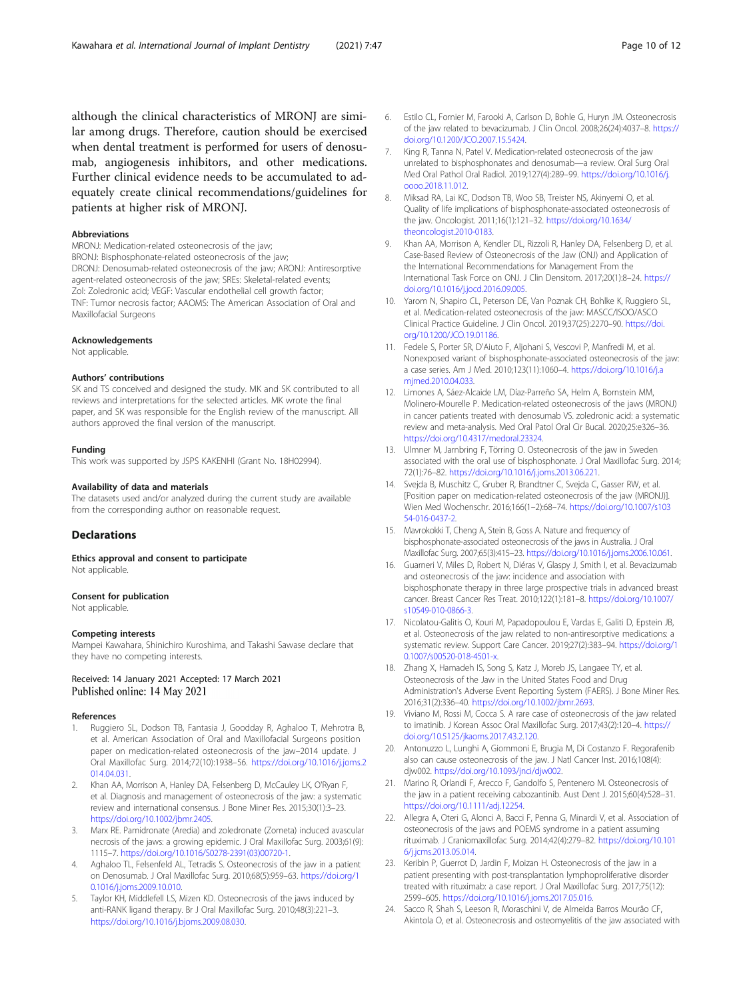<span id="page-9-0"></span>although the clinical characteristics of MRONJ are similar among drugs. Therefore, caution should be exercised when dental treatment is performed for users of denosumab, angiogenesis inhibitors, and other medications. Further clinical evidence needs to be accumulated to adequately create clinical recommendations/guidelines for patients at higher risk of MRONJ.

#### Abbreviations

MRONJ: Medication-related osteonecrosis of the jaw; BRONJ: Bisphosphonate-related osteonecrosis of the jaw; DRONJ: Denosumab-related osteonecrosis of the jaw; ARONJ: Antiresorptive agent-related osteonecrosis of the jaw; SREs: Skeletal-related events; Zol: Zoledronic acid; VEGF: Vascular endothelial cell growth factor; TNF: Tumor necrosis factor; AAOMS: The American Association of Oral and Maxillofacial Surgeons

#### Acknowledgements

Not applicable.

#### Authors' contributions

SK and TS conceived and designed the study. MK and SK contributed to all reviews and interpretations for the selected articles. MK wrote the final paper, and SK was responsible for the English review of the manuscript. All authors approved the final version of the manuscript.

#### Funding

This work was supported by JSPS KAKENHI (Grant No. 18H02994).

#### Availability of data and materials

The datasets used and/or analyzed during the current study are available from the corresponding author on reasonable request.

#### **Declarations**

Ethics approval and consent to participate Not applicable.

#### Consent for publication

Not applicable.

#### Competing interests

Mampei Kawahara, Shinichiro Kuroshima, and Takashi Sawase declare that they have no competing interests.

#### Received: 14 January 2021 Accepted: 17 March 2021 Published online: 14 May 2021

#### References

- 1. Ruggiero SL, Dodson TB, Fantasia J, Goodday R, Aghaloo T, Mehrotra B, et al. American Association of Oral and Maxillofacial Surgeons position paper on medication-related osteonecrosis of the jaw–2014 update. J Oral Maxillofac Surg. 2014;72(10):1938–56. [https://doi.org/10.1016/j.joms.2](https://doi.org/10.1016/j.joms.2014.04.031) [014.04.031](https://doi.org/10.1016/j.joms.2014.04.031).
- 2. Khan AA, Morrison A, Hanley DA, Felsenberg D, McCauley LK, O'Ryan F, et al. Diagnosis and management of osteonecrosis of the jaw: a systematic review and international consensus. J Bone Miner Res. 2015;30(1):3–23. [https://doi.org/10.1002/jbmr.2405.](https://doi.org/10.1002/jbmr.2405)
- 3. Marx RE. Pamidronate (Aredia) and zoledronate (Zometa) induced avascular necrosis of the jaws: a growing epidemic. J Oral Maxillofac Surg. 2003;61(9): 1115–7. [https://doi.org/10.1016/S0278-2391\(03\)00720-1.](https://doi.org/10.1016/S0278-2391(03)00720-1)
- 4. Aghaloo TL, Felsenfeld AL, Tetradis S. Osteonecrosis of the jaw in a patient on Denosumab. J Oral Maxillofac Surg. 2010;68(5):959–63. [https://doi.org/1](https://doi.org/10.1016/j.joms.2009.10.010) [0.1016/j.joms.2009.10.010.](https://doi.org/10.1016/j.joms.2009.10.010)
- 5. Taylor KH, Middlefell LS, Mizen KD. Osteonecrosis of the jaws induced by anti-RANK ligand therapy. Br J Oral Maxillofac Surg. 2010;48(3):221–3. <https://doi.org/10.1016/j.bjoms.2009.08.030>.
- 6. Estilo CL, Fornier M, Farooki A, Carlson D, Bohle G, Huryn JM. Osteonecrosis of the jaw related to bevacizumab. J Clin Oncol. 2008;26(24):4037–8. [https://](https://doi.org/10.1200/JCO.2007.15.5424) [doi.org/10.1200/JCO.2007.15.5424](https://doi.org/10.1200/JCO.2007.15.5424).
- 7. King R, Tanna N, Patel V. Medication-related osteonecrosis of the jaw unrelated to bisphosphonates and denosumab—a review. Oral Surg Oral Med Oral Pathol Oral Radiol. 2019;127(4):289–99. [https://doi.org/10.1016/j.](https://doi.org/10.1016/j.oooo.2018.11.012) [oooo.2018.11.012](https://doi.org/10.1016/j.oooo.2018.11.012).
- 8. Miksad RA, Lai KC, Dodson TB, Woo SB, Treister NS, Akinyemi O, et al. Quality of life implications of bisphosphonate-associated osteonecrosis of the jaw. Oncologist. 2011;16(1):121–32. [https://doi.org/10.1634/](https://doi.org/10.1634/theoncologist.2010-0183) [theoncologist.2010-0183](https://doi.org/10.1634/theoncologist.2010-0183).
- 9. Khan AA, Morrison A, Kendler DL, Rizzoli R, Hanley DA, Felsenberg D, et al. Case-Based Review of Osteonecrosis of the Jaw (ONJ) and Application of the International Recommendations for Management From the International Task Force on ONJ. J Clin Densitom. 2017;20(1):8–24. [https://](https://doi.org/10.1016/j.jocd.2016.09.005) [doi.org/10.1016/j.jocd.2016.09.005.](https://doi.org/10.1016/j.jocd.2016.09.005)
- 10. Yarom N, Shapiro CL, Peterson DE, Van Poznak CH, Bohlke K, Ruggiero SL, et al. Medication-related osteonecrosis of the jaw: MASCC/ISOO/ASCO Clinical Practice Guideline. J Clin Oncol. 2019;37(25):2270–90. [https://doi.](https://doi.org/10.1200/JCO.19.01186) [org/10.1200/JCO.19.01186](https://doi.org/10.1200/JCO.19.01186).
- 11. Fedele S, Porter SR, D'Aiuto F, Aljohani S, Vescovi P, Manfredi M, et al. Nonexposed variant of bisphosphonate-associated osteonecrosis of the jaw: a case series. Am J Med. 2010;123(11):1060–4. [https://doi.org/10.1016/j.a](https://doi.org/10.1016/j.amjmed.2010.04.033) [mjmed.2010.04.033](https://doi.org/10.1016/j.amjmed.2010.04.033).
- 12. Limones A, Sáez-Alcaide LM, Díaz-Parreño SA, Helm A, Bornstein MM, Molinero-Mourelle P. Medication-related osteonecrosis of the jaws (MRONJ) in cancer patients treated with denosumab VS. zoledronic acid: a systematic review and meta-analysis. Med Oral Patol Oral Cir Bucal. 2020;25:e326–36. [https://doi.org/10.4317/medoral.23324.](https://doi.org/10.4317/medoral.23324)
- 13. Ulmner M, Jarnbring F, Törring O. Osteonecrosis of the jaw in Sweden associated with the oral use of bisphosphonate. J Oral Maxillofac Surg. 2014; 72(1):76–82. <https://doi.org/10.1016/j.joms.2013.06.221>.
- 14. Svejda B, Muschitz C, Gruber R, Brandtner C, Svejda C, Gasser RW, et al. [Position paper on medication-related osteonecrosis of the jaw (MRONJ)]. Wien Med Wochenschr. 2016;166(1–2):68–74. [https://doi.org/10.1007/s103](https://doi.org/10.1007/s10354-016-0437-2) [54-016-0437-2](https://doi.org/10.1007/s10354-016-0437-2).
- 15. Mavrokokki T, Cheng A, Stein B, Goss A. Nature and frequency of bisphosphonate-associated osteonecrosis of the jaws in Australia. J Oral Maxillofac Surg. 2007;65(3):415–23. [https://doi.org/10.1016/j.joms.2006.10.061.](https://doi.org/10.1016/j.joms.2006.10.061)
- 16. Guarneri V, Miles D, Robert N, Diéras V, Glaspy J, Smith I, et al. Bevacizumab and osteonecrosis of the jaw: incidence and association with bisphosphonate therapy in three large prospective trials in advanced breast cancer. Breast Cancer Res Treat. 2010;122(1):181–8. [https://doi.org/10.1007/](https://doi.org/10.1007/s10549-010-0866-3) [s10549-010-0866-3.](https://doi.org/10.1007/s10549-010-0866-3)
- 17. Nicolatou-Galitis O, Kouri M, Papadopoulou E, Vardas E, Galiti D, Epstein JB, et al. Osteonecrosis of the jaw related to non-antiresorptive medications: a systematic review. Support Care Cancer. 2019;27(2):383–94. [https://doi.org/1](https://doi.org/10.1007/s00520-018-4501-x) [0.1007/s00520-018-4501-x](https://doi.org/10.1007/s00520-018-4501-x).
- 18. Zhang X, Hamadeh IS, Song S, Katz J, Moreb JS, Langaee TY, et al. Osteonecrosis of the Jaw in the United States Food and Drug Administration's Adverse Event Reporting System (FAERS). J Bone Miner Res. 2016;31(2):336–40. [https://doi.org/10.1002/jbmr.2693.](https://doi.org/10.1002/jbmr.2693)
- 19. Viviano M, Rossi M, Cocca S. A rare case of osteonecrosis of the jaw related to imatinib. J Korean Assoc Oral Maxillofac Surg. 2017;43(2):120–4. [https://](https://doi.org/10.5125/jkaoms.2017.43.2.120) [doi.org/10.5125/jkaoms.2017.43.2.120.](https://doi.org/10.5125/jkaoms.2017.43.2.120)
- 20. Antonuzzo L, Lunghi A, Giommoni E, Brugia M, Di Costanzo F. Regorafenib also can cause osteonecrosis of the jaw. J Natl Cancer Inst. 2016;108(4): diw002. https://doi.org/10.1093/inci/diw002.
- 21. Marino R, Orlandi F, Arecco F, Gandolfo S, Pentenero M. Osteonecrosis of the jaw in a patient receiving cabozantinib. Aust Dent J. 2015;60(4):528–31. [https://doi.org/10.1111/adj.12254.](https://doi.org/10.1111/adj.12254)
- 22. Allegra A, Oteri G, Alonci A, Bacci F, Penna G, Minardi V, et al. Association of osteonecrosis of the jaws and POEMS syndrome in a patient assuming rituximab. J Craniomaxillofac Surg. 2014;42(4):279–82. [https://doi.org/10.101](https://doi.org/10.1016/j.jcms.2013.05.014) [6/j.jcms.2013.05.014.](https://doi.org/10.1016/j.jcms.2013.05.014)
- 23. Keribin P, Guerrot D, Jardin F, Moizan H. Osteonecrosis of the jaw in a patient presenting with post-transplantation lymphoproliferative disorder treated with rituximab: a case report. J Oral Maxillofac Surg. 2017;75(12): 2599–605. <https://doi.org/10.1016/j.joms.2017.05.016>.
- 24. Sacco R, Shah S, Leeson R, Moraschini V, de Almeida Barros Mourão CF, Akintola O, et al. Osteonecrosis and osteomyelitis of the jaw associated with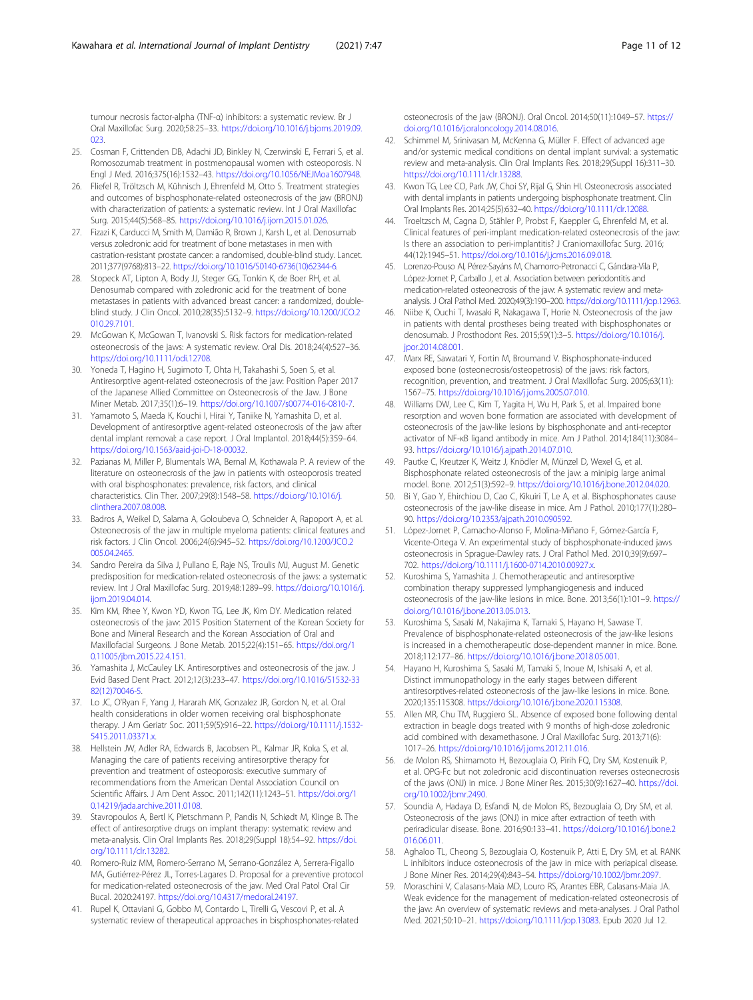<span id="page-10-0"></span>tumour necrosis factor-alpha (TNF-α) inhibitors: a systematic review. Br J Oral Maxillofac Surg. 2020;58:25–33. [https://doi.org/10.1016/j.bjoms.2019.09.](https://doi.org/10.1016/j.bjoms.2019.09.023) [023.](https://doi.org/10.1016/j.bjoms.2019.09.023)

- 25. Cosman F, Crittenden DB, Adachi JD, Binkley N, Czerwinski E, Ferrari S, et al. Romosozumab treatment in postmenopausal women with osteoporosis. N Engl J Med. 2016;375(16):1532–43. [https://doi.org/10.1056/NEJMoa1607948.](https://doi.org/10.1056/NEJMoa1607948)
- 26. Fliefel R, Tröltzsch M, Kühnisch J, Ehrenfeld M, Otto S. Treatment strategies and outcomes of bisphosphonate-related osteonecrosis of the jaw (BRONJ) with characterization of patients: a systematic review. Int J Oral Maxillofac Surg. 2015;44(5):568–85. [https://doi.org/10.1016/j.ijom.2015.01.026.](https://doi.org/10.1016/j.ijom.2015.01.026)
- 27. Fizazi K, Carducci M, Smith M, Damião R, Brown J, Karsh L, et al. Denosumab versus zoledronic acid for treatment of bone metastases in men with castration-resistant prostate cancer: a randomised, double-blind study. Lancet. 2011;377(9768):813–22. [https://doi.org/10.1016/S0140-6736\(10\)62344-6.](https://doi.org/10.1016/S0140-6736(10)62344-6)
- 28. Stopeck AT, Lipton A, Body JJ, Steger GG, Tonkin K, de Boer RH, et al. Denosumab compared with zoledronic acid for the treatment of bone metastases in patients with advanced breast cancer: a randomized, doubleblind study. J Clin Oncol. 2010;28(35):5132–9. [https://doi.org/10.1200/JCO.2](https://doi.org/10.1200/JCO.2010.29.7101) [010.29.7101.](https://doi.org/10.1200/JCO.2010.29.7101)
- 29. McGowan K, McGowan T, Ivanovski S. Risk factors for medication-related osteonecrosis of the jaws: A systematic review. Oral Dis. 2018;24(4):527–36. <https://doi.org/10.1111/odi.12708>.
- 30. Yoneda T, Hagino H, Sugimoto T, Ohta H, Takahashi S, Soen S, et al. Antiresorptive agent-related osteonecrosis of the jaw: Position Paper 2017 of the Japanese Allied Committee on Osteonecrosis of the Jaw. J Bone Miner Metab. 2017;35(1):6–19. [https://doi.org/10.1007/s00774-016-0810-7.](https://doi.org/10.1007/s00774-016-0810-7)
- 31. Yamamoto S, Maeda K, Kouchi I, Hirai Y, Taniike N, Yamashita D, et al. Development of antiresorptive agent-related osteonecrosis of the jaw after dental implant removal: a case report. J Oral Implantol. 2018;44(5):359–64. <https://doi.org/10.1563/aaid-joi-D-18-00032>.
- 32. Pazianas M, Miller P, Blumentals WA, Bernal M, Kothawala P. A review of the literature on osteonecrosis of the jaw in patients with osteoporosis treated with oral bisphosphonates: prevalence, risk factors, and clinical characteristics. Clin Ther. 2007;29(8):1548–58. [https://doi.org/10.1016/j.](https://doi.org/10.1016/j.clinthera.2007.08.008) [clinthera.2007.08.008](https://doi.org/10.1016/j.clinthera.2007.08.008).
- 33. Badros A, Weikel D, Salama A, Goloubeva O, Schneider A, Rapoport A, et al. Osteonecrosis of the jaw in multiple myeloma patients: clinical features and risk factors. J Clin Oncol. 2006;24(6):945–52. [https://doi.org/10.1200/JCO.2](https://doi.org/10.1200/JCO.2005.04.2465) [005.04.2465.](https://doi.org/10.1200/JCO.2005.04.2465)
- 34. Sandro Pereira da Silva J, Pullano E, Raje NS, Troulis MJ, August M. Genetic predisposition for medication-related osteonecrosis of the jaws: a systematic review. Int J Oral Maxillofac Surg. 2019;48:1289–99. [https://doi.org/10.1016/j.](https://doi.org/10.1016/j.ijom.2019.04.014) [ijom.2019.04.014](https://doi.org/10.1016/j.ijom.2019.04.014).
- 35. Kim KM, Rhee Y, Kwon YD, Kwon TG, Lee JK, Kim DY. Medication related osteonecrosis of the jaw: 2015 Position Statement of the Korean Society for Bone and Mineral Research and the Korean Association of Oral and Maxillofacial Surgeons. J Bone Metab. 2015;22(4):151–65. [https://doi.org/1](https://doi.org/10.11005/jbm.2015.22.4.151) [0.11005/jbm.2015.22.4.151.](https://doi.org/10.11005/jbm.2015.22.4.151)
- 36. Yamashita J, McCauley LK. Antiresorptives and osteonecrosis of the jaw. J Evid Based Dent Pract. 2012;12(3):233–47. [https://doi.org/10.1016/S1532-33](https://doi.org/10.1016/S1532-3382(12)70046-5) [82\(12\)70046-5.](https://doi.org/10.1016/S1532-3382(12)70046-5)
- 37. Lo JC, O'Ryan F, Yang J, Hararah MK, Gonzalez JR, Gordon N, et al. Oral health considerations in older women receiving oral bisphosphonate therapy. J Am Geriatr Soc. 2011;59(5):916–22. [https://doi.org/10.1111/j.1532-](https://doi.org/10.1111/j.1532-5415.2011.03371.x) [5415.2011.03371.x.](https://doi.org/10.1111/j.1532-5415.2011.03371.x)
- 38. Hellstein JW, Adler RA, Edwards B, Jacobsen PL, Kalmar JR, Koka S, et al. Managing the care of patients receiving antiresorptive therapy for prevention and treatment of osteoporosis: executive summary of recommendations from the American Dental Association Council on Scientific Affairs. J Am Dent Assoc. 2011;142(11):1243–51. [https://doi.org/1](https://doi.org/10.14219/jada.archive.2011.0108) [0.14219/jada.archive.2011.0108.](https://doi.org/10.14219/jada.archive.2011.0108)
- 39. Stavropoulos A, Bertl K, Pietschmann P, Pandis N, Schiødt M, Klinge B. The effect of antiresorptive drugs on implant therapy: systematic review and meta-analysis. Clin Oral Implants Res. 2018;29(Suppl 18):54–92. [https://doi.](https://doi.org/10.1111/clr.13282) [org/10.1111/clr.13282.](https://doi.org/10.1111/clr.13282)
- 40. Romero-Ruiz MM, Romero-Serrano M, Serrano-González A, Serrera-Figallo MA, Gutiérrez-Pérez JL, Torres-Lagares D. Proposal for a preventive protocol for medication-related osteonecrosis of the jaw. Med Oral Patol Oral Cir Bucal. 2020:24197. <https://doi.org/10.4317/medoral.24197>.
- 41. Rupel K, Ottaviani G, Gobbo M, Contardo L, Tirelli G, Vescovi P, et al. A systematic review of therapeutical approaches in bisphosphonates-related

osteonecrosis of the jaw (BRONJ). Oral Oncol. 2014;50(11):1049–57. [https://](https://doi.org/10.1016/j.oraloncology.2014.08.016) [doi.org/10.1016/j.oraloncology.2014.08.016.](https://doi.org/10.1016/j.oraloncology.2014.08.016)

- 42. Schimmel M, Srinivasan M, McKenna G, Müller F. Effect of advanced age and/or systemic medical conditions on dental implant survival: a systematic review and meta-analysis. Clin Oral Implants Res. 2018;29(Suppl 16):311–30. [https://doi.org/10.1111/clr.13288.](https://doi.org/10.1111/clr.13288)
- 43. Kwon TG, Lee CO, Park JW, Choi SY, Rijal G, Shin HI. Osteonecrosis associated with dental implants in patients undergoing bisphosphonate treatment. Clin Oral Implants Res. 2014;25(5):632–40. [https://doi.org/10.1111/clr.12088.](https://doi.org/10.1111/clr.12088)
- 44. Troeltzsch M, Cagna D, Stähler P, Probst F, Kaeppler G, Ehrenfeld M, et al. Clinical features of peri-implant medication-related osteonecrosis of the jaw: Is there an association to peri-implantitis? J Craniomaxillofac Surg. 2016; 44(12):1945–51. [https://doi.org/10.1016/j.jcms.2016.09.018.](https://doi.org/10.1016/j.jcms.2016.09.018)
- 45. Lorenzo-Pouso AI, Pérez-Sayáns M, Chamorro-Petronacci C, Gándara-Vila P, López-Jornet P, Carballo J, et al. Association between periodontitis and medication-related osteonecrosis of the jaw: A systematic review and metaanalysis. J Oral Pathol Med. 2020;49(3):190–200. <https://doi.org/10.1111/jop.12963>.
- 46. Niibe K, Ouchi T, Iwasaki R, Nakagawa T, Horie N. Osteonecrosis of the jaw in patients with dental prostheses being treated with bisphosphonates or denosumab. J Prosthodont Res. 2015;59(1):3–5. [https://doi.org/10.1016/j.](https://doi.org/10.1016/j.jpor.2014.08.001) [jpor.2014.08.001](https://doi.org/10.1016/j.jpor.2014.08.001).
- 47. Marx RE, Sawatari Y, Fortin M, Broumand V. Bisphosphonate-induced exposed bone (osteonecrosis/osteopetrosis) of the jaws: risk factors, recognition, prevention, and treatment. J Oral Maxillofac Surg. 2005;63(11): 1567–75. [https://doi.org/10.1016/j.joms.2005.07.010.](https://doi.org/10.1016/j.joms.2005.07.010)
- 48. Williams DW, Lee C, Kim T, Yagita H, Wu H, Park S, et al. Impaired bone resorption and woven bone formation are associated with development of osteonecrosis of the jaw-like lesions by bisphosphonate and anti-receptor activator of NF-κB ligand antibody in mice. Am J Pathol. 2014;184(11):3084– 93. [https://doi.org/10.1016/j.ajpath.2014.07.010.](https://doi.org/10.1016/j.ajpath.2014.07.010)
- 49. Pautke C, Kreutzer K, Weitz J, Knödler M, Münzel D, Wexel G, et al. Bisphosphonate related osteonecrosis of the jaw: a minipig large animal model. Bone. 2012;51(3):592–9. [https://doi.org/10.1016/j.bone.2012.04.020.](https://doi.org/10.1016/j.bone.2012.04.020)
- 50. Bi Y, Gao Y, Ehirchiou D, Cao C, Kikuiri T, Le A, et al. Bisphosphonates cause osteonecrosis of the jaw-like disease in mice. Am J Pathol. 2010;177(1):280– 90. <https://doi.org/10.2353/ajpath.2010.090592>.
- 51. López-Jornet P, Camacho-Alonso F, Molina-Miñano F, Gómez-García F, Vicente-Ortega V. An experimental study of bisphosphonate-induced jaws osteonecrosis in Sprague-Dawley rats. J Oral Pathol Med. 2010;39(9):697– 702. [https://doi.org/10.1111/j.1600-0714.2010.00927.x.](https://doi.org/10.1111/j.1600-0714.2010.00927.x)
- 52. Kuroshima S, Yamashita J. Chemotherapeutic and antiresorptive combination therapy suppressed lymphangiogenesis and induced osteonecrosis of the jaw-like lesions in mice. Bone. 2013;56(1):101–9. [https://](https://doi.org/10.1016/j.bone.2013.05.013) [doi.org/10.1016/j.bone.2013.05.013](https://doi.org/10.1016/j.bone.2013.05.013).
- 53. Kuroshima S, Sasaki M, Nakajima K, Tamaki S, Hayano H, Sawase T. Prevalence of bisphosphonate-related osteonecrosis of the jaw-like lesions is increased in a chemotherapeutic dose-dependent manner in mice. Bone. 2018;112:177–86. [https://doi.org/10.1016/j.bone.2018.05.001.](https://doi.org/10.1016/j.bone.2018.05.001)
- 54. Hayano H, Kuroshima S, Sasaki M, Tamaki S, Inoue M, Ishisaki A, et al. Distinct immunopathology in the early stages between different antiresorptives-related osteonecrosis of the jaw-like lesions in mice. Bone. 2020;135:115308. <https://doi.org/10.1016/j.bone.2020.115308>.
- 55. Allen MR, Chu TM, Ruggiero SL. Absence of exposed bone following dental extraction in beagle dogs treated with 9 months of high-dose zoledronic acid combined with dexamethasone. J Oral Maxillofac Surg. 2013;71(6): 1017–26. [https://doi.org/10.1016/j.joms.2012.11.016.](https://doi.org/10.1016/j.joms.2012.11.016)
- 56. de Molon RS, Shimamoto H, Bezouglaia O, Pirih FQ, Dry SM, Kostenuik P, et al. OPG-Fc but not zoledronic acid discontinuation reverses osteonecrosis of the jaws (ONJ) in mice. J Bone Miner Res. 2015;30(9):1627–40. [https://doi.](https://doi.org/10.1002/jbmr.2490) [org/10.1002/jbmr.2490](https://doi.org/10.1002/jbmr.2490).
- 57. Soundia A, Hadaya D, Esfandi N, de Molon RS, Bezouglaia O, Dry SM, et al. Osteonecrosis of the jaws (ONJ) in mice after extraction of teeth with periradicular disease. Bone. 2016;90:133–41. [https://doi.org/10.1016/j.bone.2](https://doi.org/10.1016/j.bone.2016.06.011) [016.06.011](https://doi.org/10.1016/j.bone.2016.06.011).
- 58. Aghaloo TL, Cheong S, Bezouglaia O, Kostenuik P, Atti E, Dry SM, et al. RANK L inhibitors induce osteonecrosis of the jaw in mice with periapical disease. J Bone Miner Res. 2014;29(4):843–54. <https://doi.org/10.1002/jbmr.2097>.
- 59. Moraschini V, Calasans-Maia MD, Louro RS, Arantes EBR, Calasans-Maia JA. Weak evidence for the management of medication-related osteonecrosis of the jaw: An overview of systematic reviews and meta-analyses. J Oral Pathol Med. 2021;50:10–21. [https://doi.org/10.1111/jop.13083.](https://doi.org/10.1111/jop.13083) Epub 2020 Jul 12.